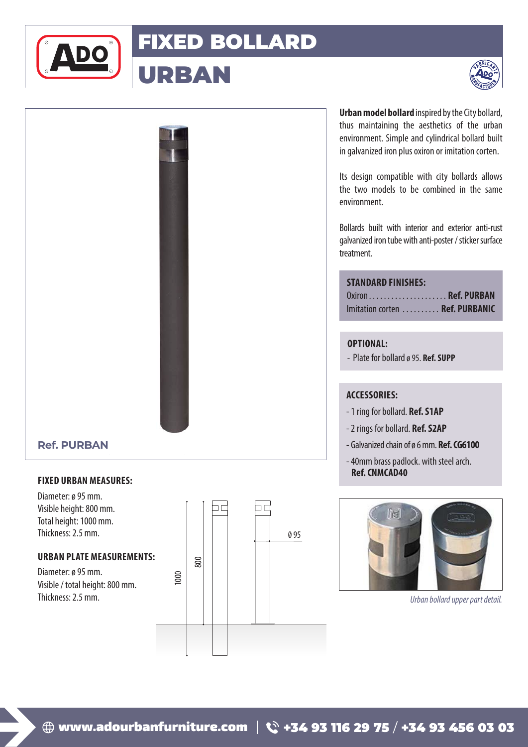

# FIXED BOLLARD

URBAN





# **Ref. PURBAN**

## **FIXED URBAN MEASURES:**

Diameter: ø 95 mm. Visible height: 800 mm. Total height: 1000 mm. Thickness: 2.5 mm.

#### **URBAN PLATE MEASUREMENTS:**

Diameter: ø 95 mm. Visible / total height: 800 mm. Thickness: 2.5 mm.



**Urban model bollard** inspired by the City bollard, thus maintaining the aesthetics of the urban environment. Simple and cylindrical bollard built in galvanized iron plus oxiron or imitation corten.

Its design compatible with city bollards allows the two models to be combined in the same environment.

Bollards built with interior and exterior anti-rust galvanized iron tube with anti-poster / sticker surface treatment.

|  | <b>STANDARD FINISHES:</b> |  |
|--|---------------------------|--|
|  |                           |  |

| Oxiron Ref. PURBAN              |  |
|---------------------------------|--|
| Imitation corten  Ref. PURBANIC |  |

### **OPTIONAL:**

- Plate for bollard ø 95. **Ref. SUPP**

### **ACCESSORIES:**

- 1 ring for bollard. **Ref. S1AP**
- 2 rings for bollard. **Ref. S2AP**
- Galvanized chain of ø 6 mm. **Ref. CG6100**
- 40mm brass padlock. with steel arch. **Ref. CNMCAD40**



*Urban bollard upper part detail.*